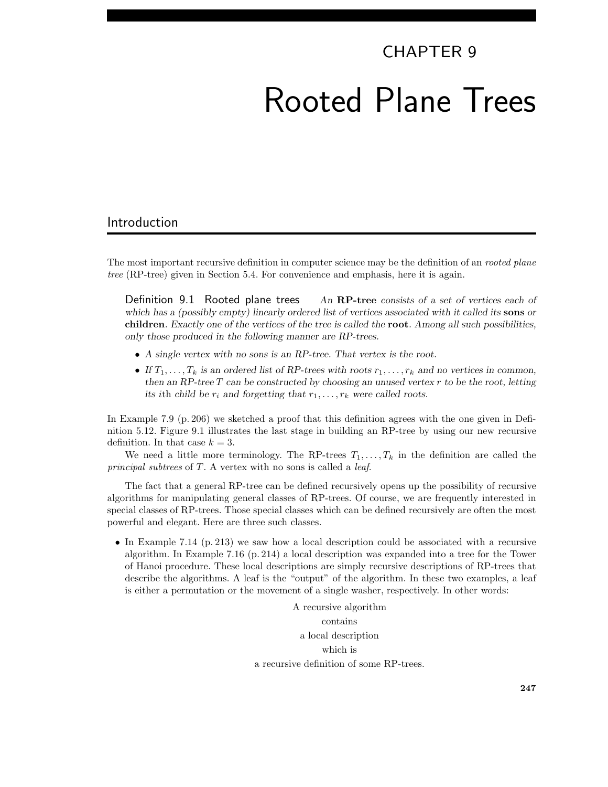# CHAPTER 9 Rooted Plane Trees

# Introduction

The most important recursive definition in computer science may be the definition of an *rooted plane* tree (RP-tree) given in Section 5.4. For convenience and emphasis, here it is again.

Definition 9.1 Rooted plane trees An RP-tree consists of a set of vertices each of which has a (possibly empty) linearly ordered list of vertices associated with it called its sons or children. Exactly one of the vertices of the tree is called the root. Among all such possibilities, only those produced in the following manner are RP-trees.

- $\bullet$  A single vertex with no sons is an RP-tree. That vertex is the root.
- If  $T_1, \ldots, T_k$  is an ordered list of RP-trees with roots  $r_1, \ldots, r_k$  and no vertices in common, then an RP-tree  $T$  can be constructed by choosing an unused vertex  $r$  to be the root, letting its ith child be  $r_i$  and forgetting that  $r_1, \ldots, r_k$  were called roots.

In Example 7.9 (p. 206) we sketched a proof that this definition agrees with the one given in Definition 5.12. Figure 9.1 illustrates the last stage in building an RP-tree by using our new recursive definition. In that case  $k = 3$ .

We need a little more terminology. The RP-trees  $T_1, \ldots, T_k$  in the definition are called the principal subtrees of  $T$ . A vertex with no sons is called a *leaf*.

The fact that a general RP-tree can be defined recursively opens up the possibility of recursive algorithms for manipulating general classes of RP-trees. Of course, we are frequently interested in special classes of RP-trees. Those special classes which can be defined recursively are often the most powerful and elegant. Here are three such classes.

• In Example 7.14 (p. 213) we saw how a local description could be associated with a recursive algorithm. In Example 7.16 (p. 214) a local description was expanded into a tree for the Tower of Hanoi procedure. These local descriptions are simply recursive descriptions of RP-trees that describe the algorithms. A leaf is the "output" of the algorithm. In these two examples, a leaf is either a permutation or the movement of a single washer, respectively. In other words:

> A recursive algorithm contains a local description which is a recursive definition of some RP-trees.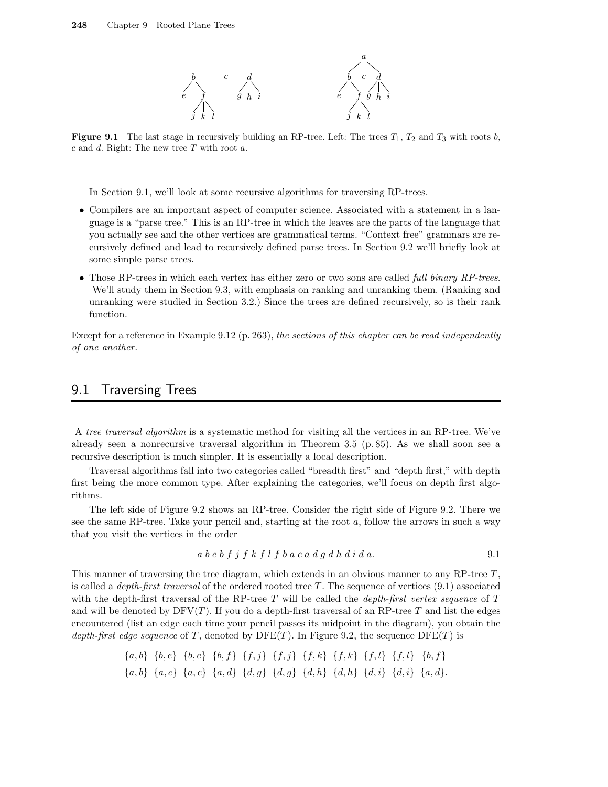

**Figure 9.1** The last stage in recursively building an RP-tree. Left: The trees  $T_1$ ,  $T_2$  and  $T_3$  with roots b,  $c$  and  $d$ . Right: The new tree  $T$  with root  $a$ .

In Section 9.1, we'll look at some recursive algorithms for traversing RP-trees.

- Compilers are an important aspect of computer science. Associated with a statement in a language is a "parse tree." This is an RP-tree in which the leaves are the parts of the language that you actually see and the other vertices are grammatical terms. "Context free" grammars are recursively defined and lead to recursively defined parse trees. In Section 9.2 we'll briefly look at some simple parse trees.
- Those RP-trees in which each vertex has either zero or two sons are called full binary RP-trees. We'll study them in Section 9.3, with emphasis on ranking and unranking them. (Ranking and unranking were studied in Section 3.2.) Since the trees are defined recursively, so is their rank function.

Except for a reference in Example 9.12 (p. 263), the sections of this chapter can be read independently of one another.

# 9.1 Traversing Trees

A tree traversal algorithm is a systematic method for visiting all the vertices in an RP-tree. We've already seen a nonrecursive traversal algorithm in Theorem 3.5 (p. 85). As we shall soon see a recursive description is much simpler. It is essentially a local description.

Traversal algorithms fall into two categories called "breadth first" and "depth first," with depth first being the more common type. After explaining the categories, we'll focus on depth first algorithms.

The left side of Figure 9.2 shows an RP-tree. Consider the right side of Figure 9.2. There we see the same RP-tree. Take your pencil and, starting at the root  $a$ , follow the arrows in such a way that you visit the vertices in the order

$$
a \ b \ e \ b \ f \ j \ f \ k \ f \ l \ f \ b \ a \ c \ a \ d \ g \ d \ h \ d \ i \ d \ a. \tag{9.1}
$$

This manner of traversing the tree diagram, which extends in an obvious manner to any  $RP$ -tree  $T$ , is called a *depth-first traversal* of the ordered rooted tree  $T$ . The sequence of vertices  $(9.1)$  associated with the depth-first traversal of the RP-tree  $T$  will be called the *depth-first vertex sequence* of  $T$ and will be denoted by  $DFV(T)$ . If you do a depth-first traversal of an RP-tree T and list the edges encountered (list an edge each time your pencil passes its midpoint in the diagram), you obtain the depth-first edge sequence of T, denoted by  $DFE(T)$ . In Figure 9.2, the sequence  $DFE(T)$  is

$$
\{a,b\} \{b,e\} \{b,f\} \{f,j\} \{f,j\} \{f,k\} \{f,k\} \{f,l\} \{f,l\} \{b,f\}
$$
  

$$
\{a,b\} \{a,c\} \{a,c\} \{a,d\} \{d,g\} \{d,g\} \{d,h\} \{d,h\} \{d,i\} \{d,i\} \{a,d\}.
$$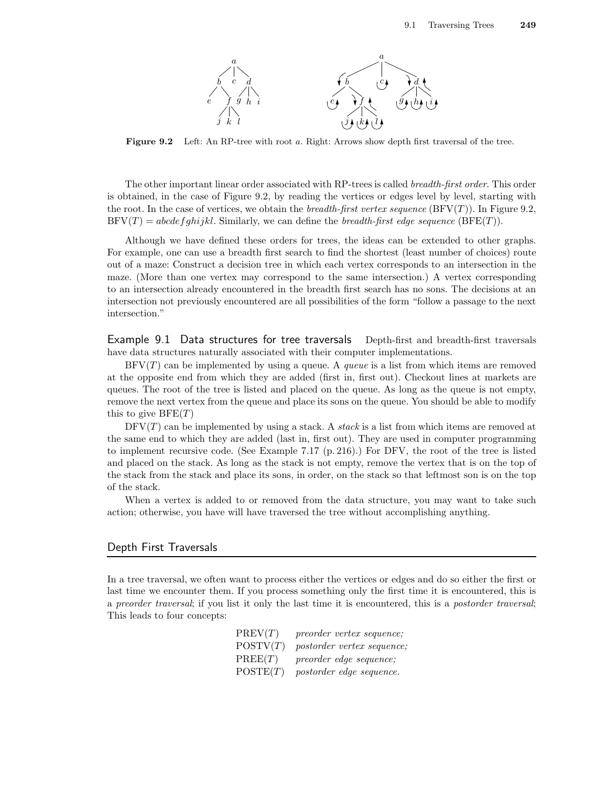

Figure 9.2 Left: An RP-tree with root a. Right: Arrows show depth first traversal of the tree.

The other important linear order associated with RP-trees is called breadth-first order. This order is obtained, in the case of Figure 9.2, by reading the vertices or edges level by level, starting with the root. In the case of vertices, we obtain the *breadth-first vertex sequence* ( $BFV(T)$ ). In Figure 9.2,  $BFV(T) = abcdefghijkl$ . Similarly, we can define the *breadth-first edge sequence* ( $BFE(T)$ ).

Although we have defined these orders for trees, the ideas can be extended to other graphs. For example, one can use a breadth first search to find the shortest (least number of choices) route out of a maze: Construct a decision tree in which each vertex corresponds to an intersection in the maze. (More than one vertex may correspond to the same intersection.) A vertex corresponding to an intersection already encountered in the breadth first search has no sons. The decisions at an intersection not previously encountered are all possibilities of the form "follow a passage to the next intersection."

Example 9.1 Data structures for tree traversals Depth-first and breadth-first traversals have data structures naturally associated with their computer implementations.

 $BFV(T)$  can be implemented by using a queue. A queue is a list from which items are removed at the opposite end from which they are added (first in, first out). Checkout lines at markets are queues. The root of the tree is listed and placed on the queue. As long as the queue is not empty, remove the next vertex from the queue and place its sons on the queue. You should be able to modify this to give  $BFE(T)$ 

 $DFV(T)$  can be implemented by using a stack. A *stack* is a list from which items are removed at the same end to which they are added (last in, first out). They are used in computer programming to implement recursive code. (See Example 7.17 (p. 216).) For DFV, the root of the tree is listed and placed on the stack. As long as the stack is not empty, remove the vertex that is on the top of the stack from the stack and place its sons, in order, on the stack so that leftmost son is on the top of the stack.

When a vertex is added to or removed from the data structure, you may want to take such action; otherwise, you have will have traversed the tree without accomplishing anything.

#### Depth First Traversals

In a tree traversal, we often want to process either the vertices or edges and do so either the first or last time we encounter them. If you process something only the first time it is encountered, this is a preorder traversal; if you list it only the last time it is encountered, this is a postorder traversal; This leads to four concepts:

| PREV(T)             | <i>preorder vertex sequence;</i>  |
|---------------------|-----------------------------------|
| POSTV(T)            | <i>postorder vertex sequence;</i> |
| $\mathrm{PREE}(T)$  | preorder edge sequence;           |
| $\mathrm{POSTE}(T)$ | postorder edge sequence.          |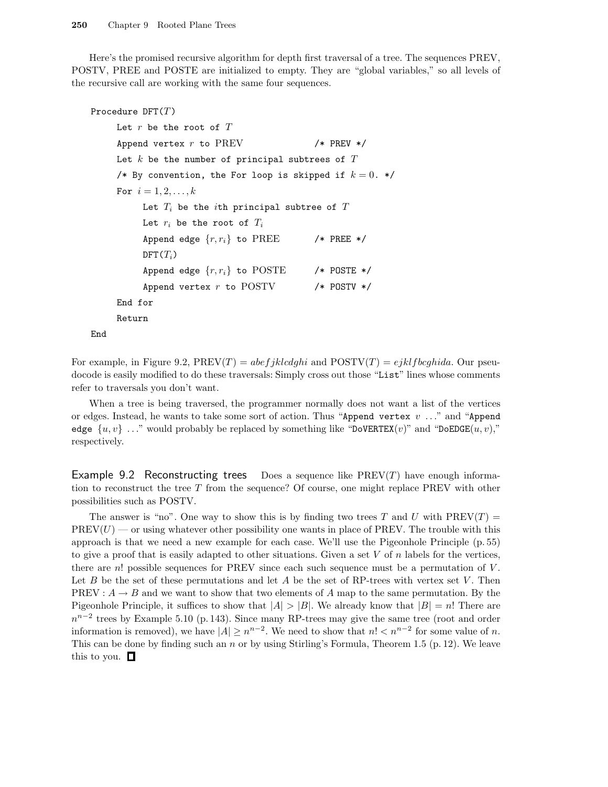Here's the promised recursive algorithm for depth first traversal of a tree. The sequences PREV, POSTV, PREE and POSTE are initialized to empty. They are "global variables," so all levels of the recursive call are working with the same four sequences.

```
Procedure DFT(T)Let r be the root of TAppend vertex r to PREV \rightarrow /* PREV */
     Let k be the number of principal subtrees of T/* By convention, the For loop is skipped if k = 0. */
    For i = 1, 2, ..., kLet T_i be the ith principal subtree of TLet r_i be the root of T_iAppend edge \{r, r_i\} to PREE /* PREE */
          DFT(T_i)Append edge \{r, r_i\} to POSTE /* POSTE */
          Append vertex r to POSTV \rightarrow POSTV \ast/
    End for
    Return
End
```
For example, in Figure 9.2,  $PREV(T) = abefjkledghi$  and  $POSTV(T) = ejklfbeghida$ . Our pseudocode is easily modified to do these traversals: Simply cross out those "List" lines whose comments refer to traversals you don't want.

When a tree is being traversed, the programmer normally does not want a list of the vertices or edges. Instead, he wants to take some sort of action. Thus "Append vertex  $v \dots$ " and "Append" edge  $\{u, v\}$ ..." would probably be replaced by something like "DoVERTEX(v)" and "DoEDGE(u, v)," respectively.

**Example 9.2 Reconstructing trees** Does a sequence like  $PREV(T)$  have enough information to reconstruct the tree T from the sequence? Of course, one might replace PREV with other possibilities such as POSTV.

The answer is "no". One way to show this is by finding two trees T and U with  $PREV(T)$  =  $PREV(U)$  — or using whatever other possibility one wants in place of PREV. The trouble with this approach is that we need a new example for each case. We'll use the Pigeonhole Principle (p. 55) to give a proof that is easily adapted to other situations. Given a set  $V$  of n labels for the vertices, there are  $n!$  possible sequences for PREV since each such sequence must be a permutation of  $V$ . Let B be the set of these permutations and let A be the set of RP-trees with vertex set V. Then PREV :  $A \rightarrow B$  and we want to show that two elements of A map to the same permutation. By the Pigeonhole Principle, it suffices to show that  $|A| > |B|$ . We already know that  $|B| = n!$  There are  $n^{n-2}$  trees by Example 5.10 (p. 143). Since many RP-trees may give the same tree (root and order information is removed), we have  $|A| \geq n^{n-2}$ . We need to show that  $n! < n^{n-2}$  for some value of n. This can be done by finding such an  $n$  or by using Stirling's Formula, Theorem 1.5 (p. 12). We leave this to you.  $\Box$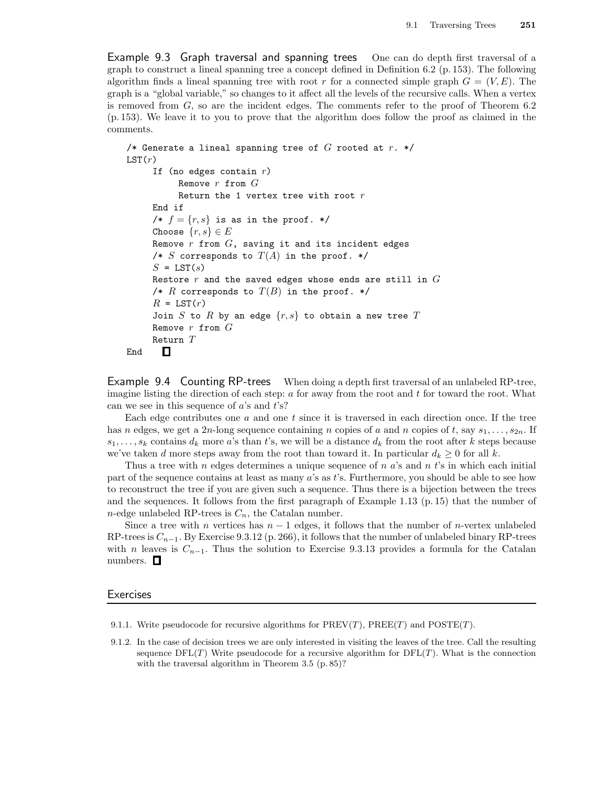Example 9.3 Graph traversal and spanning trees One can do depth first traversal of a graph to construct a lineal spanning tree a concept defined in Definition 6.2 (p. 153). The following algorithm finds a lineal spanning tree with root r for a connected simple graph  $G = (V, E)$ . The graph is a "global variable," so changes to it affect all the levels of the recursive calls. When a vertex is removed from  $G$ , so are the incident edges. The comments refer to the proof of Theorem 6.2 (p. 153). We leave it to you to prove that the algorithm does follow the proof as claimed in the comments.

```
/* Generate a lineal spanning tree of G rooted at r. */
LST(r)If (no edges contain r)
          Remove r from GReturn the 1 vertex tree with root rEnd if
     /* f = \{r, s\} is as in the proof. */
     Choose \{r, s\} \in ERemove r from G, saving it and its incident edges
     /* S corresponds to T(A) in the proof. */
     S = LST(s)Restore r and the saved edges whose ends are still in G/* R corresponds to T(B) in the proof. */
     R = LST(r)Join S to R by an edge \{r, s\} to obtain a new tree T
     Remove r from GReturn T
       \BoxEnd
```
Example 9.4 Counting RP-trees When doing a depth first traversal of an unlabeled RP-tree, imagine listing the direction of each step:  $a$  for away from the root and  $t$  for toward the root. What can we see in this sequence of  $a$ 's and  $t$ 's?

Each edge contributes one  $a$  and one  $t$  since it is traversed in each direction once. If the tree has n edges, we get a 2n-long sequence containing n copies of a and n copies of t, say  $s_1, \ldots, s_{2n}$ . If  $s_1, \ldots, s_k$  contains  $d_k$  more a's than t's, we will be a distance  $d_k$  from the root after k steps because we've taken d more steps away from the root than toward it. In particular  $d_k \geq 0$  for all k.

Thus a tree with n edges determines a unique sequence of  $n$  a's and  $n$  t's in which each initial part of the sequence contains at least as many a's as t's. Furthermore, you should be able to see how to reconstruct the tree if you are given such a sequence. Thus there is a bijection between the trees and the sequences. It follows from the first paragraph of Example 1.13 (p. 15) that the number of  $n$ -edge unlabeled RP-trees is  $C_n$ , the Catalan number.

Since a tree with n vertices has  $n-1$  edges, it follows that the number of n-vertex unlabeled RP-trees is  $C_{n-1}$ . By Exercise 9.3.12 (p. 266), it follows that the number of unlabeled binary RP-trees with *n* leaves is  $C_{n-1}$ . Thus the solution to Exercise 9.3.13 provides a formula for the Catalan numbers.  $\Box$ 

#### **Exercises**

- 9.1.1. Write pseudocode for recursive algorithms for  $PREV(T)$ ,  $PREE(T)$  and  $POSTE(T)$ .
- 9.1.2. In the case of decision trees we are only interested in visiting the leaves of the tree. Call the resulting sequence  $DFL(T)$  Write pseudocode for a recursive algorithm for  $DFL(T)$ . What is the connection with the traversal algorithm in Theorem 3.5 (p. 85)?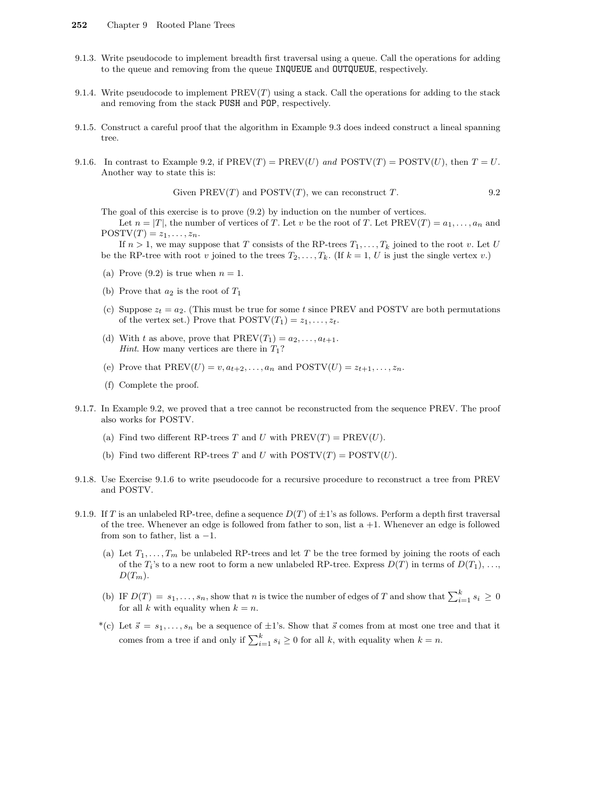- 9.1.3. Write pseudocode to implement breadth first traversal using a queue. Call the operations for adding to the queue and removing from the queue INQUEUE and OUTQUEUE, respectively.
- 9.1.4. Write pseudocode to implement  $PREV(T)$  using a stack. Call the operations for adding to the stack and removing from the stack PUSH and POP, respectively.
- 9.1.5. Construct a careful proof that the algorithm in Example 9.3 does indeed construct a lineal spanning tree.
- 9.1.6. In contrast to Example 9.2, if  $PREV(T) = PREV(U)$  and  $POSTV(T) = POSTV(U)$ , then  $T = U$ . Another way to state this is:

Given 
$$
PREV(T)
$$
 and  $POSTV(T)$ , we can reconstruct  $T$ .

The goal of this exercise is to prove (9.2) by induction on the number of vertices.

Let  $n = |T|$ , the number of vertices of T. Let v be the root of T. Let  $PREV(T) = a_1, \ldots, a_n$  and  $\text{POSTV}(T) = z_1, \ldots, z_n.$ 

If  $n > 1$ , we may suppose that T consists of the RP-trees  $T_1, \ldots, T_k$  joined to the root v. Let U be the RP-tree with root v joined to the trees  $T_2, \ldots, T_k$ . (If  $k = 1, U$  is just the single vertex v.)

- (a) Prove (9.2) is true when  $n = 1$ .
- (b) Prove that  $a_2$  is the root of  $T_1$
- (c) Suppose  $z_t = a_2$ . (This must be true for some t since PREV and POSTV are both permutations of the vertex set.) Prove that  $\text{POSTV}(T_1) = z_1, \ldots, z_t$ .
- (d) With t as above, prove that  $PREV(T_1) = a_2, \ldots, a_{t+1}$ . *Hint*. How many vertices are there in  $T_1$ ?
- (e) Prove that  $PREV(U) = v, a_{t+2}, \ldots, a_n$  and  $POSTV(U) = z_{t+1}, \ldots, z_n$ .
- (f) Complete the proof.
- 9.1.7. In Example 9.2, we proved that a tree cannot be reconstructed from the sequence PREV. The proof also works for POSTV.
	- (a) Find two different RP-trees T and U with  $PREV(T) = PREV(U)$ .
	- (b) Find two different RP-trees T and U with  $\text{POSTV}(T) = \text{POSTV}(U)$ .
- 9.1.8. Use Exercise 9.1.6 to write pseudocode for a recursive procedure to reconstruct a tree from PREV and POSTV.
- 9.1.9. If T is an unlabeled RP-tree, define a sequence  $D(T)$  of  $\pm 1$ 's as follows. Perform a depth first traversal of the tree. Whenever an edge is followed from father to son, list  $a + 1$ . Whenever an edge is followed from son to father, list  $a - 1$ .
	- (a) Let  $T_1, \ldots, T_m$  be unlabeled RP-trees and let T be the tree formed by joining the roots of each of the  $T_i$ 's to a new root to form a new unlabeled RP-tree. Express  $D(T)$  in terms of  $D(T_1), \ldots,$  $D(T_m)$ .
	- (b) IF  $D(T) = s_1, \ldots, s_n$ , show that n is twice the number of edges of T and show that  $\sum_{i=1}^k s_i \geq 0$ for all k with equality when  $k = n$ .
	- \*(c) Let  $\vec{s} = s_1, \ldots, s_n$  be a sequence of  $\pm 1$ 's. Show that  $\vec{s}$  comes from at most one tree and that it comes from a tree if and only if  $\sum_{i=1}^{k} s_i \ge 0$  for all k, with equality when  $k = n$ .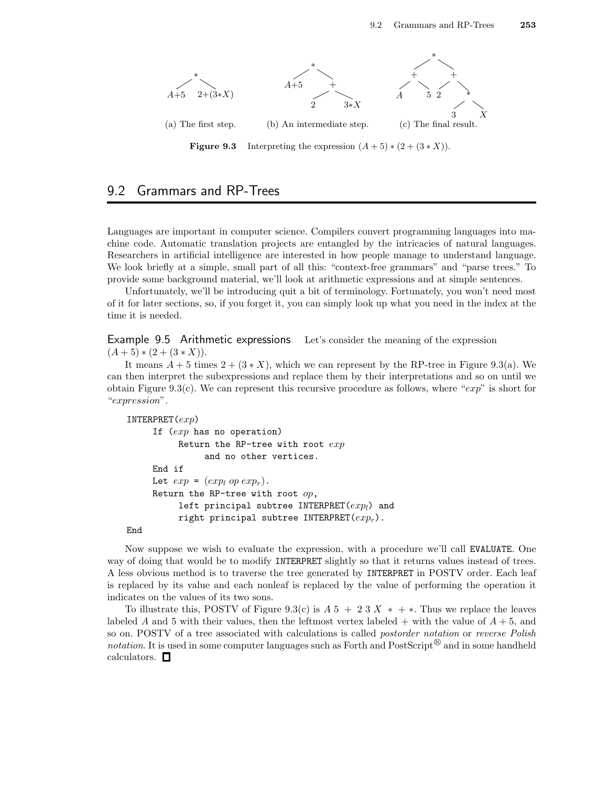

# 9.2 Grammars and RP-Trees

Languages are important in computer science. Compilers convert programming languages into machine code. Automatic translation projects are entangled by the intricacies of natural languages. Researchers in artificial intelligence are interested in how people manage to understand language. We look briefly at a simple, small part of all this: "context-free grammars" and "parse trees." To provide some background material, we'll look at arithmetic expressions and at simple sentences.

Unfortunately, we'll be introducing quit a bit of terminology. Fortunately, you won't need most of it for later sections, so, if you forget it, you can simply look up what you need in the index at the time it is needed.

Example 9.5 Arithmetic expressions Let's consider the meaning of the expression  $(A+5)*(2+(3*X)).$ 

It means  $A + 5$  times  $2 + (3 * X)$ , which we can represent by the RP-tree in Figure 9.3(a). We can then interpret the subexpressions and replace them by their interpretations and so on until we obtain Figure 9.3(c). We can represent this recursive procedure as follows, where " $exp$ " is short for "expression".

```
INTERPRET(exp)If (exp has no operation)
          Return the RP-tree with root expand no other vertices.
     End if
     Let exp = (exp_l op exp_r).
     Return the RP-tree with root op,
          left principal subtree INTERPRET(exp_l) and
          right principal subtree INTERPRET(exp_r).
```
#### End

Now suppose we wish to evaluate the expression, with a procedure we'll call EVALUATE. One way of doing that would be to modify INTERPRET slightly so that it returns values instead of trees. A less obvious method is to traverse the tree generated by INTERPRET in POSTV order. Each leaf is replaced by its value and each nonleaf is replaced by the value of performing the operation it indicates on the values of its two sons.

To illustrate this, POSTV of Figure 9.3(c) is  $A\,5\,+\,2\,3\,X\;*\,+\,*$ . Thus we replace the leaves labeled A and 5 with their values, then the leftmost vertex labeled  $+$  with the value of  $A + 5$ , and so on. POSTV of a tree associated with calculations is called *postorder notation* or *reverse Polish notation*. It is used in some computer languages such as Forth and PostScript<sup>®</sup> and in some handheld calculators.  $\Box$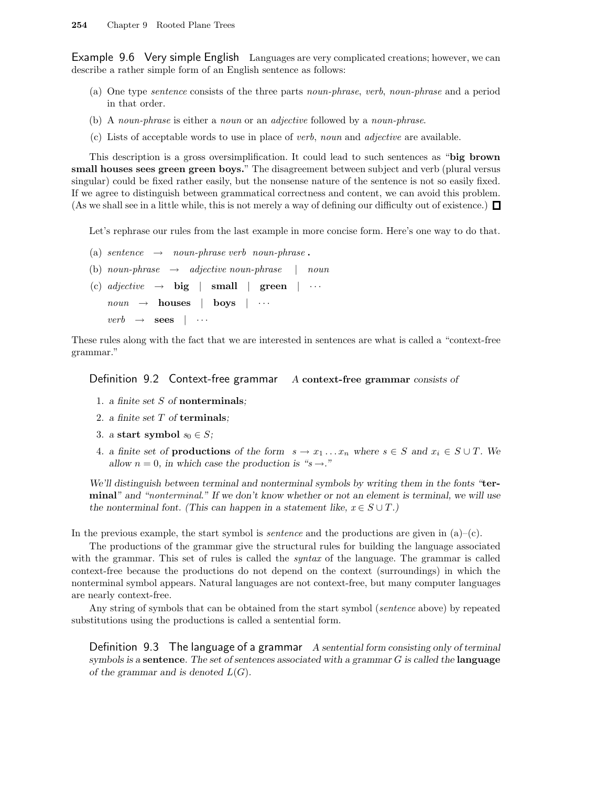Example 9.6 Very simple English Languages are very complicated creations; however, we can describe a rather simple form of an English sentence as follows:

- (a) One type sentence consists of the three parts noun-phrase, verb, noun-phrase and a period in that order.
- (b) A noun-phrase is either a noun or an adjective followed by a noun-phrase.
- (c) Lists of acceptable words to use in place of verb, noun and adjective are available.

This description is a gross oversimplification. It could lead to such sentences as "big brown small houses sees green green boys." The disagreement between subject and verb (plural versus singular) could be fixed rather easily, but the nonsense nature of the sentence is not so easily fixed. If we agree to distinguish between grammatical correctness and content, we can avoid this problem. (As we shall see in a little while, this is not merely a way of defining our difficulty out of existence.)  $\Box$ 

Let's rephrase our rules from the last example in more concise form. Here's one way to do that.

(a) sentence  $\rightarrow$  noun-phrase verb noun-phrase. (b) noun-phrase  $\rightarrow$  adjective noun-phrase | noun (c) *adjective*  $\rightarrow$  **big** | small | green |  $\cdots$  $noun \rightarrow \text{ houses} \mid \text{ boys} \mid \cdots$  $verb \rightarrow sees \mid \cdots$ 

These rules along with the fact that we are interested in sentences are what is called a "context-free grammar."

Definition 9.2 Context-free grammar A context-free grammar consists of

- 1. a finite set S of nonterminals;
- 2. a finite set  $T$  of **terminals**;
- 3. a start symbol  $s_0 \in S$ ;
- 4. a finite set of **productions** of the form  $s \to x_1 \dots x_n$  where  $s \in S$  and  $x_i \in S \cup T$ . We allow  $n = 0$ , in which case the production is "s  $\rightarrow$ ."

We'll distinguish between terminal and nonterminal symbols by writing them in the fonts "terminal" and "nonterminal." If we don't know whether or not an element is terminal, we will use the nonterminal font. (This can happen in a statement like,  $x \in S \cup T$ .)

In the previous example, the start symbol is *sentence* and the productions are given in  $(a)-(c)$ .

The productions of the grammar give the structural rules for building the language associated with the grammar. This set of rules is called the *syntax* of the language. The grammar is called context-free because the productions do not depend on the context (surroundings) in which the nonterminal symbol appears. Natural languages are not context-free, but many computer languages are nearly context-free.

Any string of symbols that can be obtained from the start symbol (sentence above) by repeated substitutions using the productions is called a sentential form.

Definition 9.3 The language of a grammar A sentential form consisting only of terminal symbols is a sentence. The set of sentences associated with a grammar  $G$  is called the language of the grammar and is denoted  $L(G)$ .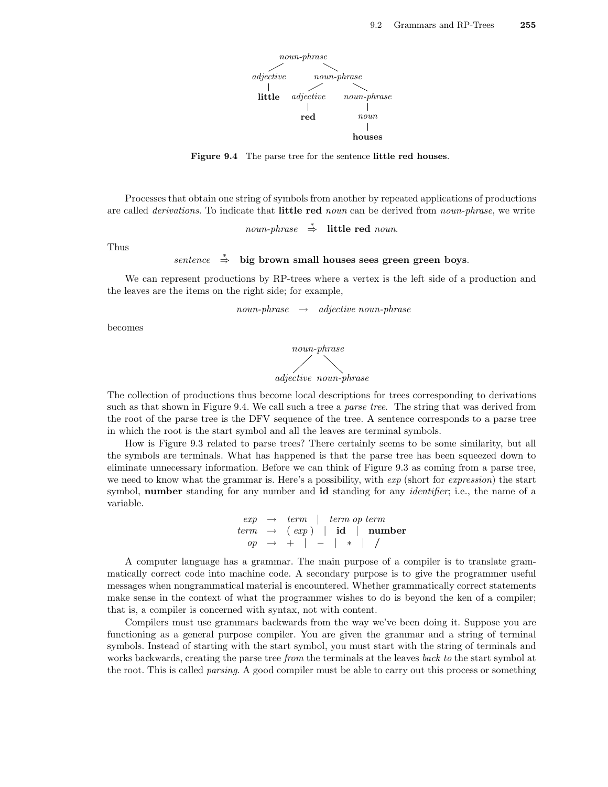

Figure 9.4 The parse tree for the sentence little red houses.

Processes that obtain one string of symbols from another by repeated applications of productions are called *derivations*. To indicate that **little red** noun can be derived from noun-phrase, we write

noun-phrase  $\stackrel{*}{\Rightarrow}$  little red noun.

Thus

sentence  $\stackrel{*}{\Rightarrow}$  big brown small houses sees green green boys.

We can represent productions by RP-trees where a vertex is the left side of a production and the leaves are the items on the right side; for example,

 $noun-phrase \rightarrow adjective\ noun-phrase$ 

becomes



The collection of productions thus become local descriptions for trees corresponding to derivations such as that shown in Figure 9.4. We call such a tree a *parse tree*. The string that was derived from the root of the parse tree is the DFV sequence of the tree. A sentence corresponds to a parse tree in which the root is the start symbol and all the leaves are terminal symbols.

How is Figure 9.3 related to parse trees? There certainly seems to be some similarity, but all the symbols are terminals. What has happened is that the parse tree has been squeezed down to eliminate unnecessary information. Before we can think of Figure 9.3 as coming from a parse tree, we need to know what the grammar is. Here's a possibility, with  $exp$  (short for *expression*) the start symbol, **number** standing for any number and **id** standing for any *identifier*; i.e., the name of a variable.

```
exp \rightarrow term | term op term
term \rightarrow (exp) \parallel id \parallel numberop \rightarrow + | - | * | /
```
A computer language has a grammar. The main purpose of a compiler is to translate grammatically correct code into machine code. A secondary purpose is to give the programmer useful messages when nongrammatical material is encountered. Whether grammatically correct statements make sense in the context of what the programmer wishes to do is beyond the ken of a compiler; that is, a compiler is concerned with syntax, not with content.

Compilers must use grammars backwards from the way we've been doing it. Suppose you are functioning as a general purpose compiler. You are given the grammar and a string of terminal symbols. Instead of starting with the start symbol, you must start with the string of terminals and works backwards, creating the parse tree *from* the terminals at the leaves back to the start symbol at the root. This is called *parsing*. A good compiler must be able to carry out this process or something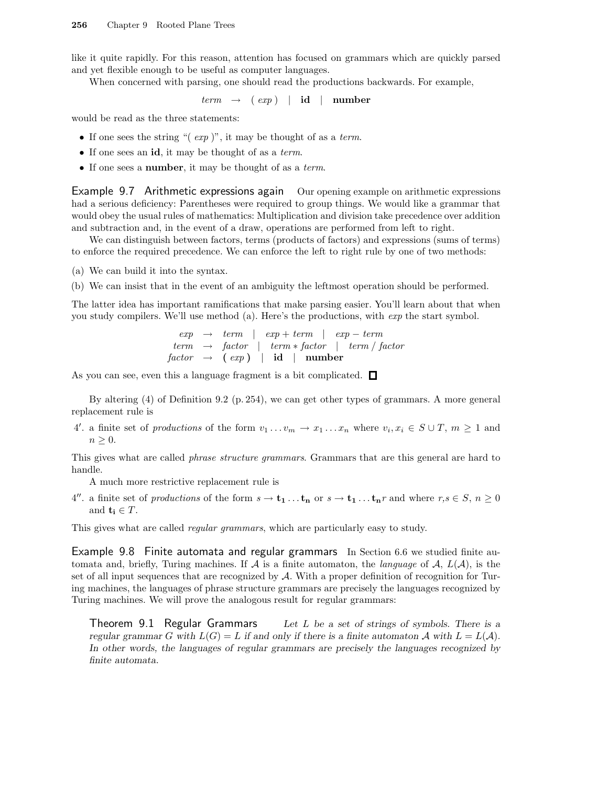like it quite rapidly. For this reason, attention has focused on grammars which are quickly parsed and yet flexible enough to be useful as computer languages.

When concerned with parsing, one should read the productions backwards. For example,

 $term \rightarrow (exp) | id | number$ 

would be read as the three statements:

- If one sees the string "( $exp$ )", it may be thought of as a term.
- If one sees an id, it may be thought of as a *term*.
- If one sees a **number**, it may be thought of as a *term*.

Example 9.7 Arithmetic expressions again Our opening example on arithmetic expressions had a serious deficiency: Parentheses were required to group things. We would like a grammar that would obey the usual rules of mathematics: Multiplication and division take precedence over addition and subtraction and, in the event of a draw, operations are performed from left to right.

We can distinguish between factors, terms (products of factors) and expressions (sums of terms) to enforce the required precedence. We can enforce the left to right rule by one of two methods:

(a) We can build it into the syntax.

(b) We can insist that in the event of an ambiguity the leftmost operation should be performed.

The latter idea has important ramifications that make parsing easier. You'll learn about that when you study compilers. We'll use method (a). Here's the productions, with exp the start symbol.

$$
\begin{array}{rcl}\n\exp & \rightarrow & term & | & exp + term & | & exp - term \\
\hline\n\text{term} & \rightarrow & factor & | & term * factor & | & term / factor \\
\text{factor} & \rightarrow & (exp) & | & \text{id} & | & \text{number}\n\end{array}
$$

As you can see, even this a language fragment is a bit complicated.  $\Box$ 

By altering (4) of Definition 9.2 (p. 254), we can get other types of grammars. A more general replacement rule is

4'. a finite set of productions of the form  $v_1 \dots v_m \to x_1 \dots x_n$  where  $v_i, x_i \in S \cup T, m \ge 1$  and  $n \geq 0$ .

This gives what are called phrase structure grammars. Grammars that are this general are hard to handle.

A much more restrictive replacement rule is

4''. a finite set of productions of the form  $s \to \mathbf{t_1} \dots \mathbf{t_n}$  or  $s \to \mathbf{t_1} \dots \mathbf{t_n}$  and where  $r, s \in S, n \geq 0$ and  $\mathbf{t_i} \in T$ .

This gives what are called regular grammars, which are particularly easy to study.

Example 9.8 Finite automata and regular grammars In Section 6.6 we studied finite automata and, briefly, Turing machines. If A is a finite automaton, the *language* of A,  $L(\mathcal{A})$ , is the set of all input sequences that are recognized by  $A$ . With a proper definition of recognition for Turing machines, the languages of phrase structure grammars are precisely the languages recognized by Turing machines. We will prove the analogous result for regular grammars:

**Theorem 9.1 Regular Grammars** Let L be a set of strings of symbols. There is a regular grammar G with  $L(G) = L$  if and only if there is a finite automaton A with  $L = L(\mathcal{A})$ . In other words, the languages of regular grammars are precisely the languages recognized by finite automata.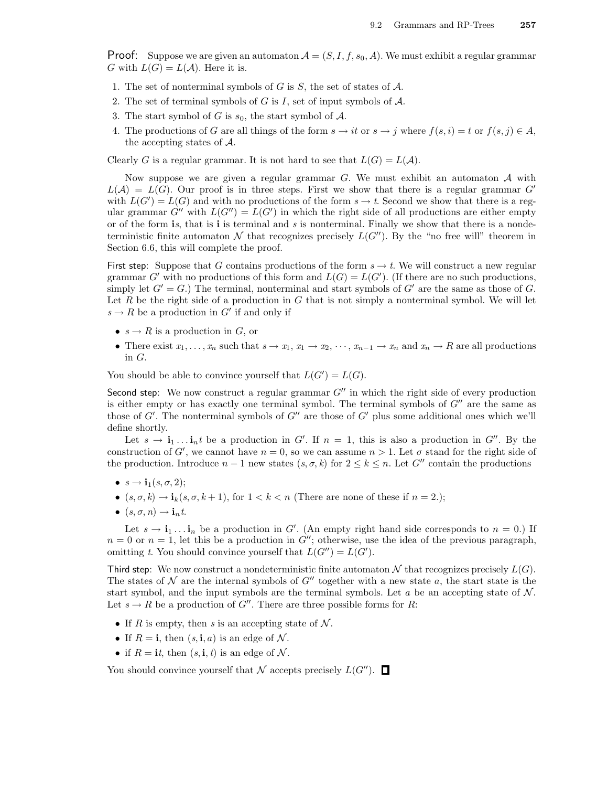**Proof:** Suppose we are given an automaton  $\mathcal{A} = (S, I, f, s_0, A)$ . We must exhibit a regular grammar G with  $L(G) = L(\mathcal{A})$ . Here it is.

- 1. The set of nonterminal symbols of  $G$  is  $S$ , the set of states of  $A$ .
- 2. The set of terminal symbols of G is I, set of input symbols of  $\mathcal{A}$ .
- 3. The start symbol of G is  $s_0$ , the start symbol of A.
- 4. The productions of G are all things of the form  $s \to it$  or  $s \to j$  where  $f(s, i) = t$  or  $f(s, j) \in A$ , the accepting states of A.

Clearly G is a regular grammar. It is not hard to see that  $L(G) = L(\mathcal{A})$ .

Now suppose we are given a regular grammar  $G$ . We must exhibit an automaton  $A$  with  $L(\mathcal{A}) = L(G)$ . Our proof is in three steps. First we show that there is a regular grammar G' with  $L(G') = L(G)$  and with no productions of the form  $s \to t$ . Second we show that there is a regular grammar G'' with  $L(G'') = L(G')$  in which the right side of all productions are either empty or of the form is, that is i is terminal and  $s$  is nonterminal. Finally we show that there is a nondeterministic finite automaton N that recognizes precisely  $L(G'')$ . By the "no free will" theorem in Section 6.6, this will complete the proof.

First step: Suppose that G contains productions of the form  $s \to t$ . We will construct a new regular grammar G' with no productions of this form and  $L(G) = L(G')$ . (If there are no such productions, simply let  $G' = G$ .) The terminal, nonterminal and start symbols of G' are the same as those of G. Let R be the right side of a production in G that is not simply a nonterminal symbol. We will let  $s \to R$  be a production in G' if and only if

- $s \to R$  is a production in  $G$ , or
- There exist  $x_1, \ldots, x_n$  such that  $s \to x_1, x_1 \to x_2, \cdots, x_{n-1} \to x_n$  and  $x_n \to R$  are all productions in G.

You should be able to convince yourself that  $L(G') = L(G)$ .

Second step: We now construct a regular grammar  $G''$  in which the right side of every production is either empty or has exactly one terminal symbol. The terminal symbols of  $G''$  are the same as those of  $G'$ . The nonterminal symbols of  $G''$  are those of  $G'$  plus some additional ones which we'll define shortly.

Let  $s \to i_1 \dots i_n t$  be a production in G'. If  $n = 1$ , this is also a production in G''. By the construction of G', we cannot have  $n = 0$ , so we can assume  $n > 1$ . Let  $\sigma$  stand for the right side of the production. Introduce  $n-1$  new states  $(s, \sigma, k)$  for  $2 \leq k \leq n$ . Let G'' contain the productions

- $s \rightarrow i_1(s, \sigma, 2);$
- $(s, \sigma, k) \to i_k(s, \sigma, k+1)$ , for  $1 < k < n$  (There are none of these if  $n = 2$ .);
- $(s, \sigma, n) \rightarrow i_n t$ .

Let  $s \to i_1 \dots i_n$  be a production in G'. (An empty right hand side corresponds to  $n = 0$ .) If  $n = 0$  or  $n = 1$ , let this be a production in G''; otherwise, use the idea of the previous paragraph, omitting t. You should convince yourself that  $L(G'') = L(G')$ .

Third step: We now construct a nondeterministic finite automaton  $N$  that recognizes precisely  $L(G)$ . The states of  $\mathcal N$  are the internal symbols of  $G''$  together with a new state a, the start state is the start symbol, and the input symbols are the terminal symbols. Let a be an accepting state of  $\mathcal N$ . Let  $s \to R$  be a production of G''. There are three possible forms for R:

- If R is empty, then s is an accepting state of  $\mathcal N$ .
- If  $R = \mathbf{i}$ , then  $(s, \mathbf{i}, a)$  is an edge of N.
- if  $R = \mathbf{i}t$ , then  $(s, \mathbf{i}, t)$  is an edge of N.

You should convince yourself that N accepts precisely  $L(G'')$ .  $\Box$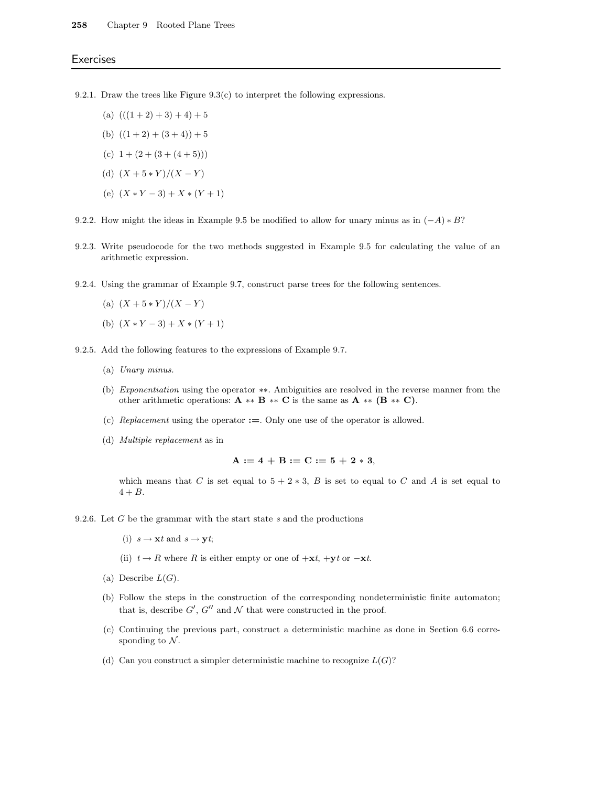#### **Exercises**

- 9.2.1. Draw the trees like Figure  $9.3(c)$  to interpret the following expressions.
	- (a)  $(((1 + 2) + 3) + 4) + 5$
	- (b)  $((1+2)+(3+4))+5$
	- (c)  $1 + (2 + (3 + (4 + 5)))$
	- (d)  $(X + 5 * Y)/(X Y)$
	- (e)  $(X * Y 3) + X * (Y + 1)$
- 9.2.2. How might the ideas in Example 9.5 be modified to allow for unary minus as in  $(-A) * B$ ?
- 9.2.3. Write pseudocode for the two methods suggested in Example 9.5 for calculating the value of an arithmetic expression.
- 9.2.4. Using the grammar of Example 9.7, construct parse trees for the following sentences.
	- (a)  $(X + 5 * Y)/(X Y)$
	- (b)  $(X * Y 3) + X * (Y + 1)$
- 9.2.5. Add the following features to the expressions of Example 9.7.
	- (a) Unary minus.
	- (b) Exponentiation using the operator ∗∗. Ambiguities are resolved in the reverse manner from the other arithmetic operations:  $A \ast B \ast C$  is the same as  $A \ast B \ast C$ .
	- (c) Replacement using the operator :=. Only one use of the operator is allowed.
	- (d) Multiple replacement as in

$$
A := 4 + B := C := 5 + 2 * 3,
$$

which means that C is set equal to  $5 + 2 * 3$ , B is set to equal to C and A is set equal to  $4 + B$ .

- 9.2.6. Let  $G$  be the grammar with the start state  $s$  and the productions
	- (i)  $s \rightarrow \mathbf{x} t$  and  $s \rightarrow \mathbf{y} t$ ;
	- (ii)  $t \to R$  where R is either empty or one of  $+xt$ ,  $+yt$  or  $-xt$ .
	- (a) Describe  $L(G)$ .
	- (b) Follow the steps in the construction of the corresponding nondeterministic finite automaton; that is, describe  $G'$ ,  $G''$  and  $\mathcal N$  that were constructed in the proof.
	- (c) Continuing the previous part, construct a deterministic machine as done in Section 6.6 corresponding to  $N$ .
	- (d) Can you construct a simpler deterministic machine to recognize  $L(G)$ ?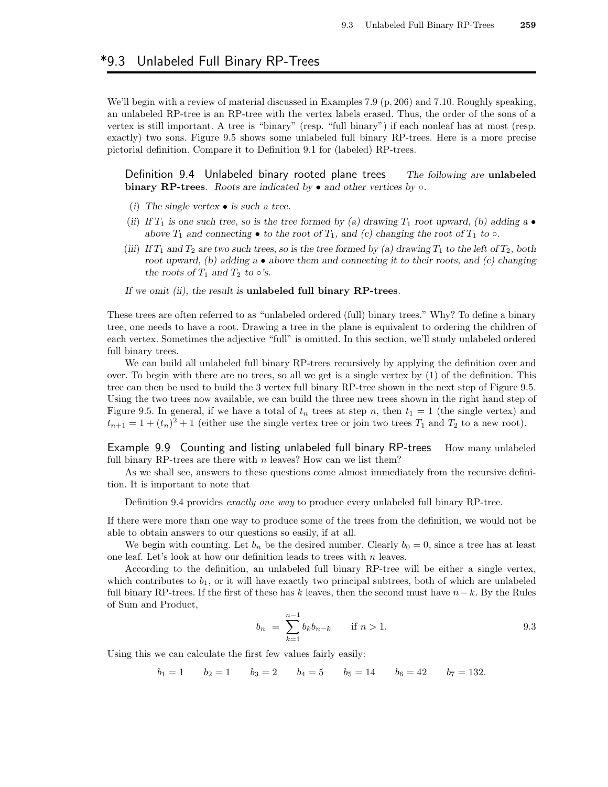### \*9.3 Unlabeled Full Binary RP-Trees

We'll begin with a review of material discussed in Examples 7.9 (p. 206) and 7.10. Roughly speaking, an unlabeled RP-tree is an RP-tree with the vertex labels erased. Thus, the order of the sons of a vertex is still important. A tree is "binary" (resp. "full binary") if each nonleaf has at most (resp. exactly) two sons. Figure 9.5 shows some unlabeled full binary RP-trees. Here is a more precise pictorial definition. Compare it to Definition 9.1 for (labeled) RP-trees.

Definition 9.4 Unlabeled binary rooted plane trees The following are unlabeled binary RP-trees. Roots are indicated by  $\bullet$  and other vertices by  $\circ$ .

- (i) The single vertex  $\bullet$  is such a tree.
- (ii) If  $T_1$  is one such tree, so is the tree formed by (a) drawing  $T_1$  root upward, (b) adding a above  $T_1$  and connecting • to the root of  $T_1$ , and (c) changing the root of  $T_1$  to  $\circ$ .
- (iii) If  $T_1$  and  $T_2$  are two such trees, so is the tree formed by (a) drawing  $T_1$  to the left of  $T_2$ , both root upward, (b) adding a  $\bullet$  above them and connecting it to their roots, and (c) changing the roots of  $T_1$  and  $T_2$  to  $\circ$ 's.

If we omit (ii), the result is unlabeled full binary  $RP\text{-trees.}$ 

These trees are often referred to as "unlabeled ordered (full) binary trees." Why? To define a binary tree, one needs to have a root. Drawing a tree in the plane is equivalent to ordering the children of each vertex. Sometimes the adjective "full" is omitted. In this section, we'll study unlabeled ordered full binary trees.

We can build all unlabeled full binary RP-trees recursively by applying the definition over and over. To begin with there are no trees, so all we get is a single vertex by (1) of the definition. This tree can then be used to build the 3 vertex full binary RP-tree shown in the next step of Figure 9.5. Using the two trees now available, we can build the three new trees shown in the right hand step of Figure 9.5. In general, if we have a total of  $t_n$  trees at step n, then  $t_1 = 1$  (the single vertex) and  $t_{n+1} = 1 + (t_n)^2 + 1$  (either use the single vertex tree or join two trees  $T_1$  and  $T_2$  to a new root).

Example 9.9 Counting and listing unlabeled full binary RP-trees How many unlabeled full binary RP-trees are there with  $n$  leaves? How can we list them?

As we shall see, answers to these questions come almost immediately from the recursive definition. It is important to note that

Definition 9.4 provides exactly one way to produce every unlabeled full binary RP-tree.

If there were more than one way to produce some of the trees from the definition, we would not be able to obtain answers to our questions so easily, if at all.

We begin with counting. Let  $b_n$  be the desired number. Clearly  $b_0 = 0$ , since a tree has at least one leaf. Let's look at how our definition leads to trees with  $n$  leaves.

According to the definition, an unlabeled full binary RP-tree will be either a single vertex, which contributes to  $b_1$ , or it will have exactly two principal subtrees, both of which are unlabeled full binary RP-trees. If the first of these has k leaves, then the second must have  $n-k$ . By the Rules of Sum and Product,

$$
b_n = \sum_{k=1}^{n-1} b_k b_{n-k} \quad \text{if } n > 1.
$$

Using this we can calculate the first few values fairly easily:

$$
b_1 = 1
$$
  $b_2 = 1$   $b_3 = 2$   $b_4 = 5$   $b_5 = 14$   $b_6 = 42$   $b_7 = 132$ .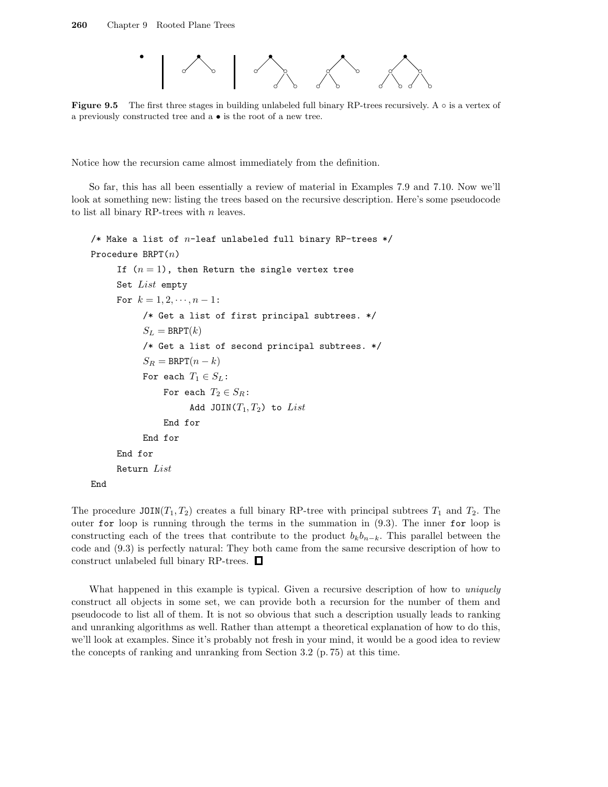

Figure 9.5 The first three stages in building unlabeled full binary RP-trees recursively. A  $\circ$  is a vertex of a previously constructed tree and a • is the root of a new tree.

Notice how the recursion came almost immediately from the definition.

So far, this has all been essentially a review of material in Examples 7.9 and 7.10. Now we'll look at something new: listing the trees based on the recursive description. Here's some pseudocode to list all binary RP-trees with  $n$  leaves.

```
/* Make a list of n-leaf unlabeled full binary RP-trees */
Procedure BRPT(n)If (n = 1), then Return the single vertex tree
     Set List empty
     For k = 1, 2, \dots, n - 1:
          /* Get a list of first principal subtrees. */
          S_L = BRPT(k)/* Get a list of second principal subtrees. */
          S_R = BRPT(n - k)For each T_1\in S_L\colonFor each T_2 \in S_R:
                    Add JOIN(T_1, T_2) to List
               End for
          End for
     End for
     Return List
```
End

The procedure  $J\text{OIN}(T_1, T_2)$  creates a full binary RP-tree with principal subtrees  $T_1$  and  $T_2$ . The outer for loop is running through the terms in the summation in (9.3). The inner for loop is constructing each of the trees that contribute to the product  $b_k b_{n-k}$ . This parallel between the code and (9.3) is perfectly natural: They both came from the same recursive description of how to construct unlabeled full binary RP-trees.  $\Box$ 

What happened in this example is typical. Given a recursive description of how to *uniquely* construct all objects in some set, we can provide both a recursion for the number of them and pseudocode to list all of them. It is not so obvious that such a description usually leads to ranking and unranking algorithms as well. Rather than attempt a theoretical explanation of how to do this, we'll look at examples. Since it's probably not fresh in your mind, it would be a good idea to review the concepts of ranking and unranking from Section 3.2 (p. 75) at this time.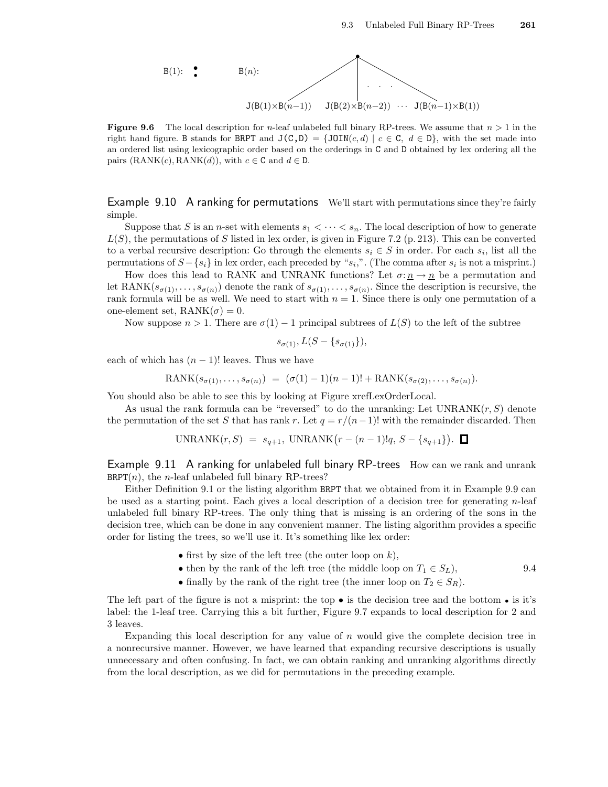

**Figure 9.6** The local description for *n*-leaf unlabeled full binary RP-trees. We assume that  $n > 1$  in the right hand figure. B stands for BRPT and  $J(C, D) = \{J0IN(c, d) | c \in C, d \in D\}$ , with the set made into an ordered list using lexicographic order based on the orderings in C and D obtained by lex ordering all the pairs  $(RANK(c), RANK(d)),$  with  $c \in \mathbb{C}$  and  $d \in \mathbb{D}$ .

Example 9.10 A ranking for permutations We'll start with permutations since they're fairly simple.

Suppose that S is an n-set with elements  $s_1 < \cdots < s_n$ . The local description of how to generate  $L(S)$ , the permutations of S listed in lex order, is given in Figure 7.2 (p. 213). This can be converted to a verbal recursive description: Go through the elements  $s_i \in S$  in order. For each  $s_i$ , list all the permutations of  $S - \{s_i\}$  in lex order, each preceded by " $s_i$ ". (The comma after  $s_i$  is not a misprint.)

How does this lead to RANK and UNRANK functions? Let  $\sigma: \underline{n} \to \underline{n}$  be a permutation and let RANK $(s_{\sigma(1)},\ldots,s_{\sigma(n)})$  denote the rank of  $s_{\sigma(1)},\ldots,s_{\sigma(n)}$ . Since the description is recursive, the rank formula will be as well. We need to start with  $n = 1$ . Since there is only one permutation of a one-element set,  $\text{RANK}(\sigma) = 0$ .

Now suppose  $n > 1$ . There are  $\sigma(1) - 1$  principal subtrees of  $L(S)$  to the left of the subtree

$$
s_{\sigma(1)}, L(S - \{s_{\sigma(1)}\}),
$$

each of which has  $(n - 1)!$  leaves. Thus we have

$$
RANK(s_{\sigma(1)},...,s_{\sigma(n)}) = (\sigma(1)-1)(n-1)! + RANK(s_{\sigma(2)},...,s_{\sigma(n)}).
$$

You should also be able to see this by looking at Figure xrefLexOrderLocal.

As usual the rank formula can be "reversed" to do the unranking: Let  $\text{UNRANK}(r, S)$  denote the permutation of the set S that has rank r. Let  $q = r/(n-1)!$  with the remainder discarded. Then

$$
UNRANK(r, S) = s_{q+1}
$$
,  $UNRANK(r - (n-1)!q, S - \{s_{q+1}\})$ .

Example 9.11 A ranking for unlabeled full binary RP-trees How can we rank and unrank  $BRPT(n)$ , the *n*-leaf unlabeled full binary RP-trees?

Either Definition 9.1 or the listing algorithm BRPT that we obtained from it in Example 9.9 can be used as a starting point. Each gives a local description of a decision tree for generating n-leaf unlabeled full binary RP-trees. The only thing that is missing is an ordering of the sons in the decision tree, which can be done in any convenient manner. The listing algorithm provides a specific order for listing the trees, so we'll use it. It's something like lex order:

- first by size of the left tree (the outer loop on  $k$ ),
- then by the rank of the left tree (the middle loop on  $T_1 \in S_L$ ),

9.4

• finally by the rank of the right tree (the inner loop on  $T_2 \in S_R$ ).

The left part of the figure is not a misprint: the top  $\bullet$  is the decision tree and the bottom  $\bullet$  is it's label: the 1-leaf tree. Carrying this a bit further, Figure 9.7 expands to local description for 2 and 3 leaves.

Expanding this local description for any value of  $n$  would give the complete decision tree in a nonrecursive manner. However, we have learned that expanding recursive descriptions is usually unnecessary and often confusing. In fact, we can obtain ranking and unranking algorithms directly from the local description, as we did for permutations in the preceding example.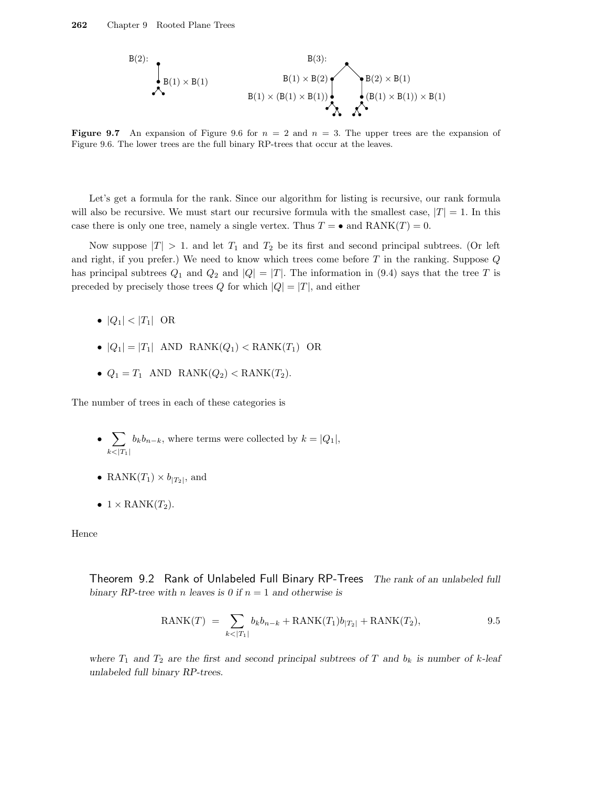B(2): • • B(1) × B(1) • • • B(3): • • • • • B(1) × B(2) B(2) × B(1) B(1) × (B(1) × B(1)) (B(1) × B(1)) × B(1) • • • • • • • • • •

**Figure 9.7** An expansion of Figure 9.6 for  $n = 2$  and  $n = 3$ . The upper trees are the expansion of Figure 9.6. The lower trees are the full binary RP-trees that occur at the leaves.

Let's get a formula for the rank. Since our algorithm for listing is recursive, our rank formula will also be recursive. We must start our recursive formula with the smallest case,  $|T| = 1$ . In this case there is only one tree, namely a single vertex. Thus  $T = \bullet$  and  $\text{RANK}(T) = 0$ .

Now suppose  $|T| > 1$ . and let  $T_1$  and  $T_2$  be its first and second principal subtrees. (Or left and right, if you prefer.) We need to know which trees come before  $T$  in the ranking. Suppose  $Q$ has principal subtrees  $Q_1$  and  $Q_2$  and  $|Q| = |T|$ . The information in (9.4) says that the tree T is preceded by precisely those trees Q for which  $|Q| = |T|$ , and either

- $|Q_1| < |T_1|$  OR
- $|Q_1| = |T_1|$  AND RANK $(Q_1)$  < RANK $(T_1)$  OR
- $Q_1 = T_1$  AND RANK $(Q_2)$  < RANK $(T_2)$ .

The number of trees in each of these categories is

- $\bullet$   $\sum$  $k<|T_1|$  $b_k b_{n-k}$ , where terms were collected by  $k = |Q_1|$ ,
- RANK $(T_1) \times b_{|T_2|}$ , and
- $1 \times \text{RANK}(T_2)$ .

Hence

Theorem 9.2 Rank of Unlabeled Full Binary RP-Trees The rank of an unlabeled full binary RP-tree with n leaves is 0 if  $n = 1$  and otherwise is

$$
RANK(T) = \sum_{k < |T_1|} b_k b_{n-k} + RANK(T_1)b_{|T_2|} + RANK(T_2),\tag{9.5}
$$

where  $T_1$  and  $T_2$  are the first and second principal subtrees of T and  $b_k$  is number of k-leaf unlabeled full binary RP-trees.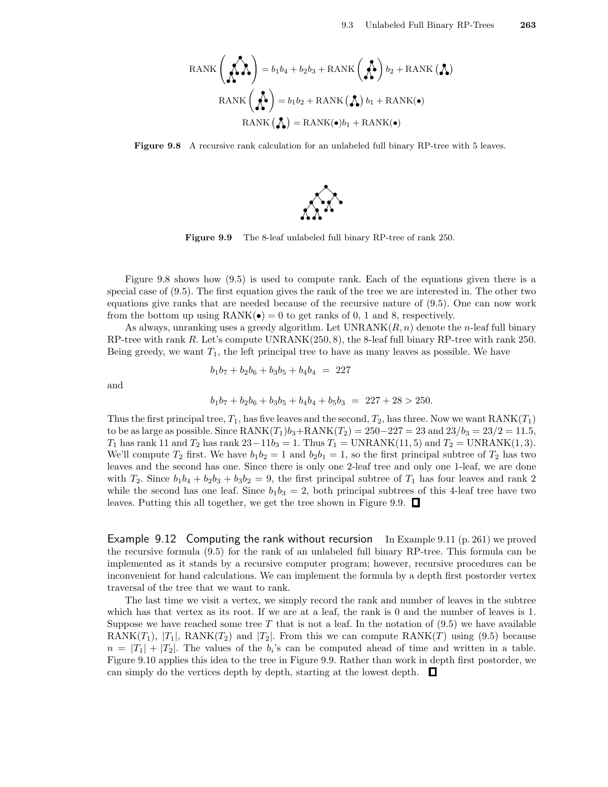$$
RANK\left(\bigwedge_{i=1}^{n} A_i\right) = b_1b_4 + b_2b_3 + RANK\left(\bigwedge_{i=1}^{n} b_2 + RANK\left(\bigwedge_{i=1}^{n} b_i\right) + RANK\left(\bigwedge_{i=1}^{n} b_i\right) = b_1b_2 + RANK\left(\bigwedge_{i=1}^{n} b_i\right) + RANK\left(\bullet\right)
$$
  

$$
RANK\left(\bigwedge_{i=1}^{n} A_i\right) = RANK\left(\bullet\right)b_1 + RANK\left(\bullet\right)
$$

Figure 9.8 A recursive rank calculation for an unlabeled full binary RP-tree with 5 leaves.



Figure 9.9 The 8-leaf unlabeled full binary RP-tree of rank 250.

Figure 9.8 shows how (9.5) is used to compute rank. Each of the equations given there is a special case of (9.5). The first equation gives the rank of the tree we are interested in. The other two equations give ranks that are needed because of the recursive nature of (9.5). One can now work from the bottom up using  $\text{RANK}(\bullet) = 0$  to get ranks of 0, 1 and 8, respectively.

As always, unranking uses a greedy algorithm. Let  $\text{UNRANK}(R, n)$  denote the *n*-leaf full binary RP-tree with rank R. Let's compute UNRANK $(250, 8)$ , the 8-leaf full binary RP-tree with rank 250. Being greedy, we want  $T_1$ , the left principal tree to have as many leaves as possible. We have

$$
b_1b_7 + b_2b_6 + b_3b_5 + b_4b_4 = 227
$$

and

$$
b_1b_7 + b_2b_6 + b_3b_5 + b_4b_4 + b_5b_3 = 227 + 28 > 250.
$$

Thus the first principal tree,  $T_1$ , has five leaves and the second,  $T_2$ , has three. Now we want  $\text{RANK}(T_1)$ to be as large as possible. Since  $\text{RANK}(T_1)b_3+\text{RANK}(T_2)=250-227=23$  and  $23/b_3=23/2=11.5$ ,  $T_1$  has rank 11 and  $T_2$  has rank  $23-11b_3 = 1$ . Thus  $T_1 = \text{UNRANK}(11, 5)$  and  $T_2 = \text{UNRANK}(1, 3)$ . We'll compute  $T_2$  first. We have  $b_1b_2 = 1$  and  $b_2b_1 = 1$ , so the first principal subtree of  $T_2$  has two leaves and the second has one. Since there is only one 2-leaf tree and only one 1-leaf, we are done with  $T_2$ . Since  $b_1b_4 + b_2b_3 + b_3b_2 = 9$ , the first principal subtree of  $T_1$  has four leaves and rank 2 while the second has one leaf. Since  $b_1b_3 = 2$ , both principal subtrees of this 4-leaf tree have two leaves. Putting this all together, we get the tree shown in Figure 9.9.  $\Box$ 

**Example 9.12 Computing the rank without recursion** In Example 9.11 (p. 261) we proved the recursive formula (9.5) for the rank of an unlabeled full binary RP-tree. This formula can be implemented as it stands by a recursive computer program; however, recursive procedures can be inconvenient for hand calculations. We can implement the formula by a depth first postorder vertex traversal of the tree that we want to rank.

The last time we visit a vertex, we simply record the rank and number of leaves in the subtree which has that vertex as its root. If we are at a leaf, the rank is 0 and the number of leaves is 1. Suppose we have reached some tree T that is not a leaf. In the notation of  $(9.5)$  we have available RANK $(T_1)$ ,  $|T_1|$ , RANK $(T_2)$  and  $|T_2|$ . From this we can compute RANK $(T)$  using (9.5) because  $n = |T_1| + |T_2|$ . The values of the  $b_i$ 's can be computed ahead of time and written in a table. Figure 9.10 applies this idea to the tree in Figure 9.9. Rather than work in depth first postorder, we can simply do the vertices depth by depth, starting at the lowest depth.  $\Box$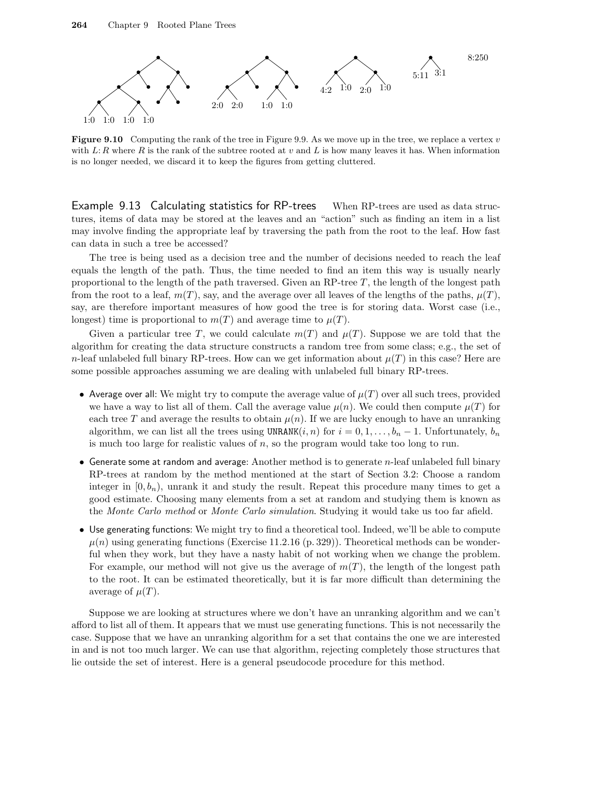

**Figure 9.10** Computing the rank of the tree in Figure 9.9. As we move up in the tree, we replace a vertex  $v$ with  $L: R$  where R is the rank of the subtree rooted at v and L is how many leaves it has. When information is no longer needed, we discard it to keep the figures from getting cluttered.

Example 9.13 Calculating statistics for RP-trees When RP-trees are used as data structures, items of data may be stored at the leaves and an "action" such as finding an item in a list may involve finding the appropriate leaf by traversing the path from the root to the leaf. How fast can data in such a tree be accessed?

The tree is being used as a decision tree and the number of decisions needed to reach the leaf equals the length of the path. Thus, the time needed to find an item this way is usually nearly proportional to the length of the path traversed. Given an RP-tree  $T$ , the length of the longest path from the root to a leaf,  $m(T)$ , say, and the average over all leaves of the lengths of the paths,  $\mu(T)$ , say, are therefore important measures of how good the tree is for storing data. Worst case (i.e., longest) time is proportional to  $m(T)$  and average time to  $\mu(T)$ .

Given a particular tree T, we could calculate  $m(T)$  and  $\mu(T)$ . Suppose we are told that the algorithm for creating the data structure constructs a random tree from some class; e.g., the set of n-leaf unlabeled full binary RP-trees. How can we get information about  $\mu(T)$  in this case? Here are some possible approaches assuming we are dealing with unlabeled full binary RP-trees.

- Average over all: We might try to compute the average value of  $\mu(T)$  over all such trees, provided we have a way to list all of them. Call the average value  $\mu(n)$ . We could then compute  $\mu(T)$  for each tree T and average the results to obtain  $\mu(n)$ . If we are lucky enough to have an unranking algorithm, we can list all the trees using UNRANK $(i, n)$  for  $i = 0, 1, \ldots, b_n - 1$ . Unfortunately,  $b_n$ is much too large for realistic values of  $n$ , so the program would take too long to run.
- Generate some at random and average: Another method is to generate  $n$ -leaf unlabeled full binary RP-trees at random by the method mentioned at the start of Section 3.2: Choose a random integer in  $[0, b_n)$ , unrank it and study the result. Repeat this procedure many times to get a good estimate. Choosing many elements from a set at random and studying them is known as the Monte Carlo method or Monte Carlo simulation. Studying it would take us too far afield.
- Use generating functions: We might try to find a theoretical tool. Indeed, we'll be able to compute  $\mu(n)$  using generating functions (Exercise 11.2.16 (p. 329)). Theoretical methods can be wonderful when they work, but they have a nasty habit of not working when we change the problem. For example, our method will not give us the average of  $m(T)$ , the length of the longest path to the root. It can be estimated theoretically, but it is far more difficult than determining the average of  $\mu(T)$ .

Suppose we are looking at structures where we don't have an unranking algorithm and we can't afford to list all of them. It appears that we must use generating functions. This is not necessarily the case. Suppose that we have an unranking algorithm for a set that contains the one we are interested in and is not too much larger. We can use that algorithm, rejecting completely those structures that lie outside the set of interest. Here is a general pseudocode procedure for this method.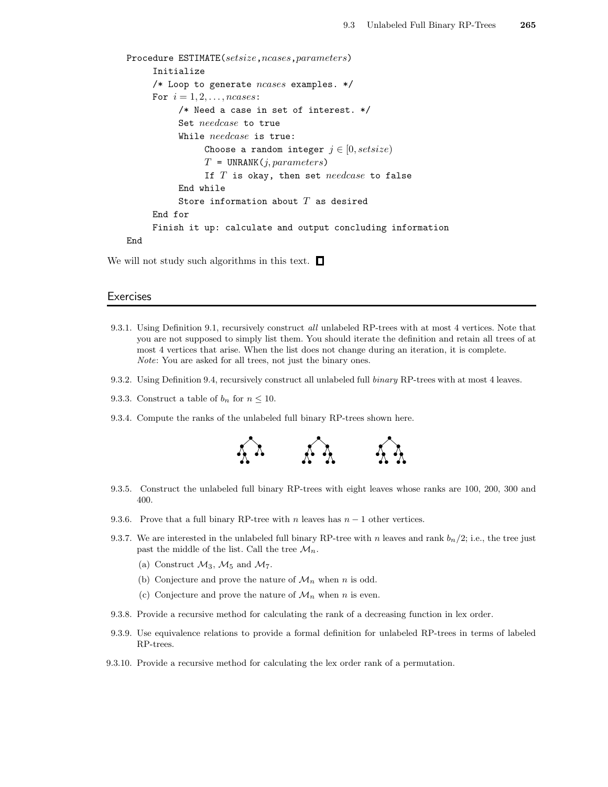```
Procedure ESTIMATE(setsize,ncases,parameters)
     Initialize
     /* Loop to generate ncases examples. */
     For i = 1, 2, \ldots, ncases:
           /* Need a case in set of interest. */
           Set needcase to true
           While needcase is true:
                Choose a random integer j \in [0, set size)T = \text{UNRANK}(i, parameters)If T is okay, then set needcase to false
           End while
           Store information about T as desired
     End for
     Finish it up: calculate and output concluding information
End
```
We will not study such algorithms in this text.  $\Box$ 

#### **Exercises**

- 9.3.1. Using Definition 9.1, recursively construct all unlabeled RP-trees with at most 4 vertices. Note that you are not supposed to simply list them. You should iterate the definition and retain all trees of at most 4 vertices that arise. When the list does not change during an iteration, it is complete. Note: You are asked for all trees, not just the binary ones.
- 9.3.2. Using Definition 9.4, recursively construct all unlabeled full binary RP-trees with at most 4 leaves.
- 9.3.3. Construct a table of  $b_n$  for  $n \leq 10$ .
- 9.3.4. Compute the ranks of the unlabeled full binary RP-trees shown here.



- 9.3.5. Construct the unlabeled full binary RP-trees with eight leaves whose ranks are 100, 200, 300 and 400.
- 9.3.6. Prove that a full binary RP-tree with n leaves has  $n-1$  other vertices.
- 9.3.7. We are interested in the unlabeled full binary RP-tree with n leaves and rank  $b_n/2$ ; i.e., the tree just past the middle of the list. Call the tree  $\mathcal{M}_n$ .
	- (a) Construct  $\mathcal{M}_3$ ,  $\mathcal{M}_5$  and  $\mathcal{M}_7$ .
	- (b) Conjecture and prove the nature of  $\mathcal{M}_n$  when n is odd.
	- (c) Conjecture and prove the nature of  $\mathcal{M}_n$  when n is even.
- 9.3.8. Provide a recursive method for calculating the rank of a decreasing function in lex order.
- 9.3.9. Use equivalence relations to provide a formal definition for unlabeled RP-trees in terms of labeled RP-trees.
- 9.3.10. Provide a recursive method for calculating the lex order rank of a permutation.